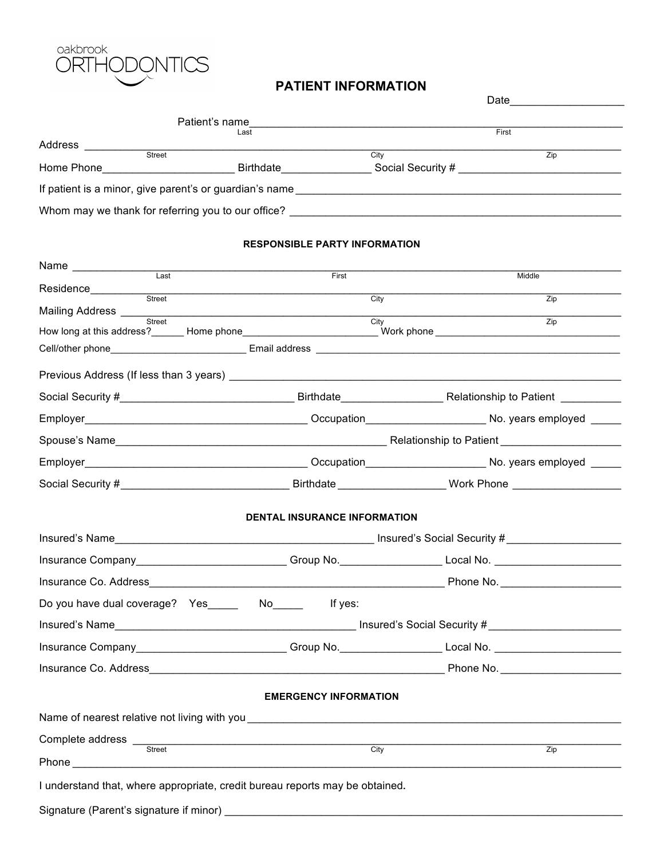

## **PATIENT INFORMATION**

|        |                                                                                                               |                                                                                                                               | Date                                                                                                                                                                                                                                 |  |  |
|--------|---------------------------------------------------------------------------------------------------------------|-------------------------------------------------------------------------------------------------------------------------------|--------------------------------------------------------------------------------------------------------------------------------------------------------------------------------------------------------------------------------------|--|--|
|        | Patient's name                                                                                                |                                                                                                                               |                                                                                                                                                                                                                                      |  |  |
|        | Last                                                                                                          |                                                                                                                               | First                                                                                                                                                                                                                                |  |  |
| Street |                                                                                                               | City                                                                                                                          | $\overline{Z}$ ip<br>Home Phone____________________________Birthdate____________________Social Security # _________________________                                                                                                  |  |  |
|        |                                                                                                               |                                                                                                                               |                                                                                                                                                                                                                                      |  |  |
|        |                                                                                                               |                                                                                                                               |                                                                                                                                                                                                                                      |  |  |
|        |                                                                                                               |                                                                                                                               |                                                                                                                                                                                                                                      |  |  |
|        |                                                                                                               | <b>RESPONSIBLE PARTY INFORMATION</b>                                                                                          |                                                                                                                                                                                                                                      |  |  |
| Name   |                                                                                                               |                                                                                                                               |                                                                                                                                                                                                                                      |  |  |
|        |                                                                                                               | First                                                                                                                         | Middle                                                                                                                                                                                                                               |  |  |
|        | Residence<br>Street<br>Street                                                                                 | City                                                                                                                          | $\overline{Z}$ ip                                                                                                                                                                                                                    |  |  |
|        | Mailing Address Street                                                                                        | Zip<br>City<br>How long at this address?_______ Home phone________________________________ Work phone _______________________ |                                                                                                                                                                                                                                      |  |  |
|        |                                                                                                               |                                                                                                                               |                                                                                                                                                                                                                                      |  |  |
|        |                                                                                                               |                                                                                                                               |                                                                                                                                                                                                                                      |  |  |
|        |                                                                                                               |                                                                                                                               |                                                                                                                                                                                                                                      |  |  |
|        |                                                                                                               |                                                                                                                               |                                                                                                                                                                                                                                      |  |  |
|        |                                                                                                               |                                                                                                                               |                                                                                                                                                                                                                                      |  |  |
|        |                                                                                                               |                                                                                                                               |                                                                                                                                                                                                                                      |  |  |
|        |                                                                                                               |                                                                                                                               |                                                                                                                                                                                                                                      |  |  |
|        |                                                                                                               |                                                                                                                               |                                                                                                                                                                                                                                      |  |  |
|        |                                                                                                               |                                                                                                                               |                                                                                                                                                                                                                                      |  |  |
|        |                                                                                                               | DENTAL INSURANCE INFORMATION                                                                                                  |                                                                                                                                                                                                                                      |  |  |
|        |                                                                                                               | Insured's Name <b>Insured's Name Insured's Social Security #</b>                                                              |                                                                                                                                                                                                                                      |  |  |
|        | Insurance Company____________________________Group No.____________________Local No. _________________________ |                                                                                                                               |                                                                                                                                                                                                                                      |  |  |
|        |                                                                                                               |                                                                                                                               |                                                                                                                                                                                                                                      |  |  |
|        | Do you have dual coverage? Yes________ No______                                                               | If yes:                                                                                                                       |                                                                                                                                                                                                                                      |  |  |
|        |                                                                                                               |                                                                                                                               |                                                                                                                                                                                                                                      |  |  |
|        | Insurance Company____________________________Group No.___________________Local No. __________________________ |                                                                                                                               |                                                                                                                                                                                                                                      |  |  |
|        |                                                                                                               |                                                                                                                               | Insurance Co. Address <b>Exercía de Senato de Senato de Senato de Senato de Senato de Senato de Senato de Senato de Senato de Senato de Senato de Senato de Senato de Senato de Senato de Senato de Senato de Senato de Senato d</b> |  |  |
|        |                                                                                                               |                                                                                                                               |                                                                                                                                                                                                                                      |  |  |
|        |                                                                                                               | <b>EMERGENCY INFORMATION</b>                                                                                                  |                                                                                                                                                                                                                                      |  |  |
|        |                                                                                                               |                                                                                                                               |                                                                                                                                                                                                                                      |  |  |
|        |                                                                                                               | City                                                                                                                          | Zip                                                                                                                                                                                                                                  |  |  |